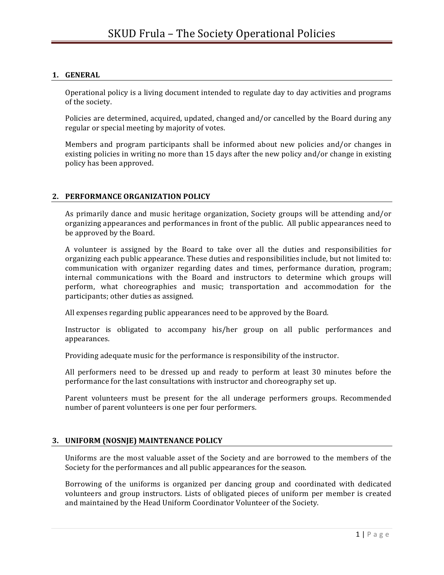#### **1. GENERAL**

Operational policy is a living document intended to regulate day to day activities and programs of the society.

Policies are determined, acquired, updated, changed and/or cancelled by the Board during any regular or special meeting by majority of votes.

Members and program participants shall be informed about new policies and/or changes in existing policies in writing no more than 15 days after the new policy and/or change in existing policy has been approved.

#### **2. PERFORMANCE ORGANIZATION POLICY**

As primarily dance and music heritage organization, Society groups will be attending and/or organizing appearances and performances in front of the public. All public appearances need to be approved by the Board.

A volunteer is assigned by the Board to take over all the duties and responsibilities for organizing each public appearance. These duties and responsibilities include, but not limited to: communication with organizer regarding dates and times, performance duration, program; internal communications with the Board and instructors to determine which groups will perform, what choreographies and music; transportation and accommodation for the participants; other duties as assigned.

All expenses regarding public appearances need to be approved by the Board.

Instructor is obligated to accompany his/her group on all public performances and appearances.

Providing adequate music for the performance is responsibility of the instructor.

All performers need to be dressed up and ready to perform at least 30 minutes before the performance for the last consultations with instructor and choreography set up.

Parent volunteers must be present for the all underage performers groups. Recommended number of parent volunteers is one per four performers.

## **3. UNIFORM (NOSNJE) MAINTENANCE POLICY**

Uniforms are the most valuable asset of the Society and are borrowed to the members of the Society for the performances and all public appearances for the season.

Borrowing of the uniforms is organized per dancing group and coordinated with dedicated volunteers and group instructors. Lists of obligated pieces of uniform per member is created and maintained by the Head Uniform Coordinator Volunteer of the Society.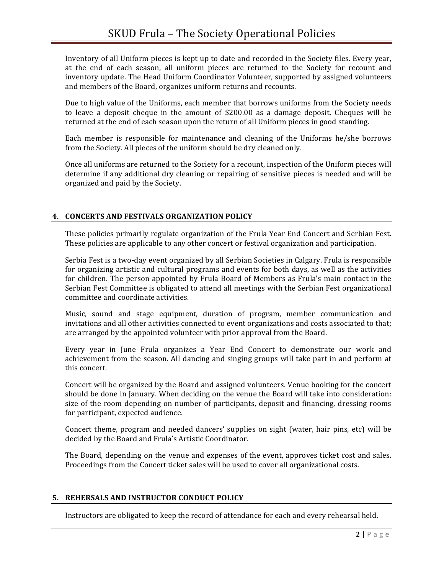Inventory of all Uniform pieces is kept up to date and recorded in the Society files. Every year, at the end of each season, all uniform pieces are returned to the Society for recount and inventory update. The Head Uniform Coordinator Volunteer, supported by assigned volunteers and members of the Board, organizes uniform returns and recounts.

Due to high value of the Uniforms, each member that borrows uniforms from the Society needs to leave a deposit cheque in the amount of  $$200.00$  as a damage deposit. Cheques will be returned at the end of each season upon the return of all Uniform pieces in good standing.

Each member is responsible for maintenance and cleaning of the Uniforms  $he/she$  borrows from the Society. All pieces of the uniform should be dry cleaned only.

Once all uniforms are returned to the Society for a recount, inspection of the Uniform pieces will determine if any additional dry cleaning or repairing of sensitive pieces is needed and will be organized and paid by the Society.

# **4. CONCERTS AND FESTIVALS ORGANIZATION POLICY**

These policies primarily regulate organization of the Frula Year End Concert and Serbian Fest. These policies are applicable to any other concert or festival organization and participation.

Serbia Fest is a two-day event organized by all Serbian Societies in Calgary. Frula is responsible for organizing artistic and cultural programs and events for both days, as well as the activities for children. The person appointed by Frula Board of Members as Frula's main contact in the Serbian Fest Committee is obligated to attend all meetings with the Serbian Fest organizational committee and coordinate activities.

Music, sound and stage equipment, duration of program, member communication and invitations and all other activities connected to event organizations and costs associated to that; are arranged by the appointed volunteer with prior approval from the Board.

Every year in June Frula organizes a Year End Concert to demonstrate our work and achievement from the season. All dancing and singing groups will take part in and perform at this concert.

Concert will be organized by the Board and assigned volunteers. Venue booking for the concert should be done in January. When deciding on the venue the Board will take into consideration: size of the room depending on number of participants, deposit and financing, dressing rooms for participant, expected audience.

Concert theme, program and needed dancers' supplies on sight (water, hair pins, etc) will be decided by the Board and Frula's Artistic Coordinator.

The Board, depending on the venue and expenses of the event, approves ticket cost and sales. Proceedings from the Concert ticket sales will be used to cover all organizational costs.

## **5. REHERSALS AND INSTRUCTOR CONDUCT POLICY**

Instructors are obligated to keep the record of attendance for each and every rehearsal held.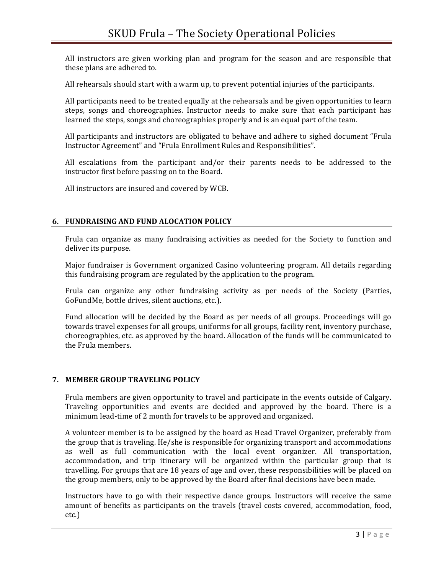All instructors are given working plan and program for the season and are responsible that these plans are adhered to.

All rehearsals should start with a warm up, to prevent potential injuries of the participants.

All participants need to be treated equally at the rehearsals and be given opportunities to learn steps, songs and choreographies. Instructor needs to make sure that each participant has learned the steps, songs and choreographies properly and is an equal part of the team.

All participants and instructors are obligated to behave and adhere to sighed document "Frula Instructor Agreement" and "Frula Enrollment Rules and Responsibilities".

All escalations from the participant and/or their parents needs to be addressed to the instructor first before passing on to the Board.

All instructors are insured and covered by WCB.

### **6. FUNDRAISING AND FUND ALOCATION POLICY**

Frula can organize as many fundraising activities as needed for the Society to function and deliver its purpose.

Major fundraiser is Government organized Casino volunteering program. All details regarding this fundraising program are regulated by the application to the program.

Frula can organize any other fundraising activity as per needs of the Society (Parties, GoFundMe, bottle drives, silent auctions, etc.).

Fund allocation will be decided by the Board as per needs of all groups. Proceedings will go towards travel expenses for all groups, uniforms for all groups, facility rent, inventory purchase, choreographies, etc. as approved by the board. Allocation of the funds will be communicated to the Frula members.

## **7. MEMBER GROUP TRAVELING POLICY**

Frula members are given opportunity to travel and participate in the events outside of Calgary. Traveling opportunities and events are decided and approved by the board. There is a minimum lead-time of 2 month for travels to be approved and organized.

A volunteer member is to be assigned by the board as Head Travel Organizer, preferably from the group that is traveling.  $He/she$  is responsible for organizing transport and accommodations as well as full communication with the local event organizer. All transportation, accommodation, and trip itinerary will be organized within the particular group that is travelling. For groups that are 18 years of age and over, these responsibilities will be placed on the group members, only to be approved by the Board after final decisions have been made.

Instructors have to go with their respective dance groups. Instructors will receive the same amount of benefits as participants on the travels (travel costs covered, accommodation, food, etc.)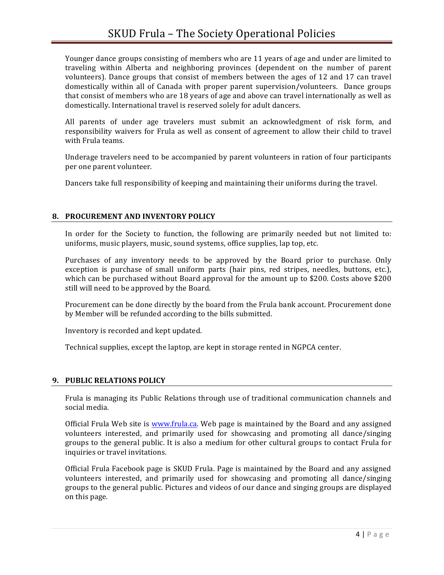Younger dance groups consisting of members who are 11 years of age and under are limited to traveling within Alberta and neighboring provinces (dependent on the number of parent volunteers). Dance groups that consist of members between the ages of 12 and 17 can travel domestically within all of Canada with proper parent supervision/volunteers. Dance groups that consist of members who are 18 years of age and above can travel internationally as well as domestically. International travel is reserved solely for adult dancers.

All parents of under age travelers must submit an acknowledgment of risk form, and responsibility waivers for Frula as well as consent of agreement to allow their child to travel with Frula teams.

Underage travelers need to be accompanied by parent volunteers in ration of four participants per one parent volunteer.

Dancers take full responsibility of keeping and maintaining their uniforms during the travel.

### **8. PROCUREMENT AND INVENTORY POLICY**

In order for the Society to function, the following are primarily needed but not limited to: uniforms, music players, music, sound systems, office supplies, lap top, etc.

Purchases of any inventory needs to be approved by the Board prior to purchase. Only exception is purchase of small uniform parts (hair pins, red stripes, needles, buttons, etc.), which can be purchased without Board approval for the amount up to \$200. Costs above  $$200$ still will need to be approved by the Board.

Procurement can be done directly by the board from the Frula bank account. Procurement done by Member will be refunded according to the bills submitted.

Inventory is recorded and kept updated.

Technical supplies, except the laptop, are kept in storage rented in NGPCA center.

#### **9. PUBLIC RELATIONS POLICY**

Frula is managing its Public Relations through use of traditional communication channels and social media.

Official Frula Web site is www.frula.ca. Web page is maintained by the Board and any assigned volunteers interested, and primarily used for showcasing and promoting all dance/singing groups to the general public. It is also a medium for other cultural groups to contact Frula for inquiries or travel invitations.

Official Frula Facebook page is SKUD Frula. Page is maintained by the Board and any assigned volunteers interested, and primarily used for showcasing and promoting all dance/singing groups to the general public. Pictures and videos of our dance and singing groups are displayed on this page.